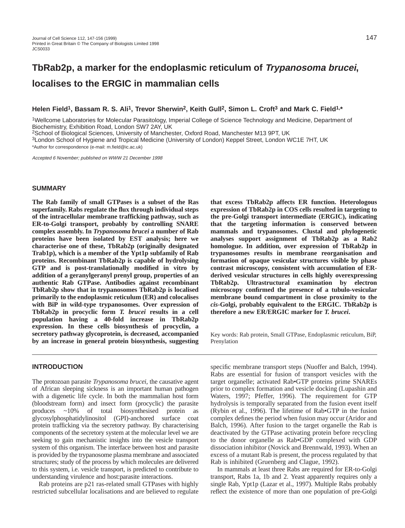# **Helen Field1, Bassam R. S. Ali1, Trevor Sherwin2, Keith Gull2, Simon L. Croft3 and Mark C. Field1,\***

1Wellcome Laboratories for Molecular Parasitology, Imperial College of Science Technology and Medicine, Department of Biochemistry, Exhibition Road, London SW7 2AY, UK

2School of Biological Sciences, University of Manchester, Oxford Road, Manchester M13 9PT, UK

3London School of Hygiene and Tropical Medicine (University of London) Keppel Street, London WC1E 7HT, UK \*Author for correspondence (e-mail: m.field@ic.ac.uk)

Accepted 6 November; published on WWW 21 December 1998

#### **SUMMARY**

**The Rab family of small GTPases is a subset of the Ras superfamily. Rabs regulate the flux through individual steps of the intracellular membrane trafficking pathway, such as ER-to-Golgi transport, probably by controlling SNARE complex assembly. In** *Trypanosoma brucei* **a number of Rab proteins have been isolated by EST analysis; here we characterise one of these, TbRab2p (originally designated Trab1p), which is a member of the Ypt1p subfamily of Rab proteins. Recombinant TbRab2p is capable of hydrolysing GTP and is post-translationally modified in vitro by addition of a geranylgeranyl prenyl group, properties of an authentic Rab GTPase. Antibodies against recombinant TbRab2p show that in trypanosomes TbRab2p is localised primarily to the endoplasmic reticulum (ER) and colocalises with BiP in wild-type trypanosomes. Over expression of TbRab2p in procyclic form** *T. brucei* **results in a cell population having a 40-fold increase in TbRab2p expression. In these cells biosynthesis of procyclin, a secretory pathway glycoprotein, is decreased, accompanied by an increase in general protein biosynthesis, suggesting**

# **INTRODUCTION**

The protozoan parasite *Trypanosoma brucei*, the causative agent of African sleeping sickness is an important human pathogen with a digenetic life cycle. In both the mammalian host form (bloodstream form) and insect form (procyclic) the parasite produces ~10% of total biosynthesised protein as glycosylphosphatidylinositol (GPI)-anchored surface coat protein trafficking via the secretory pathway. By characterising components of the secretory system at the molecular level we are seeking to gain mechanistic insights into the vesicle transport system of this organism. The interface between host and parasite is provided by the trypanosome plasma membrane and associated structures; study of the process by which molecules are delivered to this system, i.e. vesicle transport, is predicted to contribute to understanding virulence and host:parasite interactions.

Rab proteins are p21 ras-related small GTPases with highly restricted subcellular localisations and are believed to regulate **that excess TbRab2p affects ER function. Heterologous expression of TbRab2p in COS cells resulted in targeting to the pre-Golgi transport intermediate (ERGIC), indicating that the targeting information is conserved between mammals and trypanosomes. Clustal and phylogenetic analyses support assignment of TbRab2p as a Rab2 homologue. In addition, over expression of TbRab2p in trypanosomes results in membrane reorganisation and formation of opaque vesicular structures visible by phase contrast microscopy, consistent with accumulation of ERderived vesicular structures in cells highly overexpressing TbRab2p. Ultrastructural examination by electron microscopy confirmed the presence of a tubulo-vesicular membrane bound compartment in close proximity to the** *cis***-Golgi, probably equivalent to the ERGIC. TbRab2p is therefore a new ER/ERGIC marker for** *T. brucei***.**

Key words: Rab protein, Small GTPase, Endoplasmic reticulum, BiP, Prenylation

specific membrane transport steps (Nuoffer and Balch, 1994). Rabs are essential for fusion of transport vesicles with the target organelle; activated Rab•GTP proteins prime SNAREs prior to complex formation and vesicle docking (Lupashin and Waters, 1997; Pfeffer, 1996). The requirement for GTP hydrolysis is temporally separated from the fusion event itself (Rybin et al., 1996). The lifetime of Rab•GTP in the fusion complex defines the period when fusion may occur (Aridor and Balch, 1996). After fusion to the target organelle the Rab is deactivated by the GTPase activating protein before recycling to the donor organelle as Rab•GDP complexed with GDP dissociation inhibitor (Novick and Brennwald, 1993). When an excess of a mutant Rab is present, the process regulated by that Rab is inhibited (Gruenberg and Clague, 1992).

In mammals at least three Rabs are required for ER-to-Golgi transport, Rabs 1a, 1b and 2. Yeast apparently requires only a single Rab, Ypt1p (Lazar et al., 1997). Multiple Rabs probably reflect the existence of more than one population of pre-Golgi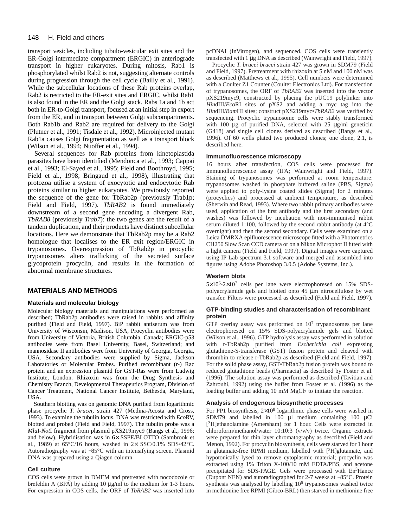#### 148 H. Field and others

transport vesicles, including tubulo-vesicular exit sites and the ER-Golgi intermediate compartment (ERGIC) in anteriograde transport in higher eukaryotes. During mitosis, Rab1 is phosphorylated whilst Rab2 is not, suggesting alternate controls during progression through the cell cycle (Bailly et al., 1991). While the subcellular locations of these Rab proteins overlap, Rab2 is restricted to the ER-exit sites and ERGIC, whilst Rab1 is also found in the ER and the Golgi stack. Rabs 1a and 1b act both in ER-to-Golgi transport, focused at an initial step in export from the ER, and in transport between Golgi subcompartments. Both Rab1b and Rab2 are required for delivery to the Golgi (Plutner et al., 1991; Tisdale et al., 1992). Microinjected mutant Rab1a causes Golgi fragmentation as well as a transport block (Wilson et al., 1994; Nuoffer et al., 1994).

Several sequences for Rab proteins from kinetoplastida parasites have been identified (Mendonca et al., 1993; Cappai et al., 1993; El-Sayed et al., 1995; Field and Boothroyd, 1995; Field et al., 1998; Bringaud et al., 1998), illustrating that protozoa utilise a system of exocytotic and endocytotic Rab proteins similar to higher eukaryotes. We previously reported the sequence of the gene for TbRab2p (previously Trab1p; Field and Field, 1997). *TbRAB2* is found immediately downstream of a second gene encoding a divergent Rab, *TbRAB8* (previously *Trab7*): the two genes are the result of a tandem duplication, and their products have distinct subcellular locations. Here we demonstrate that TbRab2p may be a Rab2 homologue that localises to the ER exit region/ERGIC in trypanosomes. Overexpression of TbRab2p in procyclic trypanosomes alters trafficking of the secreted surface glycoprotein procyclin, and results in the formation of abnormal membrane structures.

# **MATERIALS AND METHODS**

#### **Materials and molecular biology**

Molecular biology materials and manipulations were performed as described; TbRab2p antibodies were raised in rabbits and affinity purified (Field and Field, 1997). BiP rabbit antiserum was from University of Wisconsin, Madison, USA, Procyclin antibodies were from University of Victoria, British Columbia, Canada; ERGIC-p53 antibodies were from Basel University, Basel, Switzerland; and mannosidase II antibodies were from University of Georgia, Georgia, USA. Secondary antibodies were supplied by Sigma, Jackson Laboratories or Molecular Probes. Purified recombinant (r-) Rac protein and an expression plasmid for GST-Ras were from Ludwig Institute, London. Rhizoxin was from the Drug Synthesis and Chemistry Branch, Developmental Therapeutics Program, Division of Cancer Treatment, National Cancer Institute, Bethesda, Maryland, USA.

Southern blotting was on genomic DNA purified from logarithmic phase procyclic *T. brucei*, strain 427 (Medina-Acosta and Cross, 1993). To examine the tubulin locus, DNA was restricted with *Eco*RV, blotted and probed (Field and Field, 1997). The tubulin probe was a *Mlu*I-*Not*I fragment from plasmid pXS219myc9 (Bangs et al., 1996; and below). Hybridisation was in 6× SSPE/BLOTTO (Sambrook et al., 1989) at  $65^{\circ}$ C/16 hours, washed in  $2 \times$  SSC/0.1% SDS/42 $^{\circ}$ C. Autoradiography was at −85°C with an intensifying screen. Plasmid DNA was prepared using a Qiagen column.

#### **Cell culture**

COS cells were grown in DMEM and pretreated with nocodozole or brefeldin A (BFA) by adding 10 µg/ml to the medium for 1-3 hours. For expression in COS cells, the ORF of *TbRAB2* was inserted into pcDNAI (InVitrogen), and sequenced. COS cells were transiently transfected with 1 µg DNA as described (Wainwright and Field, 1997).

Procyclic *T. brucei brucei* strain 427 was grown in SDM79 (Field and Field, 1997). Pretreatment with rhizoxin at 5 nM and 100 nM was as described (Matthews et al., 1995). Cell numbers were determined with a Coulter Z1 Counter (Coulter Electronics Ltd). For transfection of trypanosomes, the ORF of *TbRAB2* was inserted into the vector pXS219myc9, constructed by placing the pUC19 polylinker into *Hin*dIII/*Eco*RI sites of pXS2 and adding a myc tag into the *Hin*dIII/*Bam*HI sites; construct pXS219myc•*TbRAB2* was verified by sequencing. Procyclic trypanosome cells were stably transformed with 100  $\mu$ g of purified DNA, selected with 25  $\mu$ g/ml geneticin (G418) and single cell clones derived as described (Bangs et al., 1996). Of 60 wells plated two produced clones; one clone, 2.1, is described here.

#### **Immunofluorescence microscopy**

16 hours after transfection, COS cells were processed for immunofluorescence assay (IFA; Wainwright and Field, 1997). Staining of trypanosomes was performed at room temperature: trypanosomes washed in phosphate buffered saline (PBS, Sigma) were applied to poly-lysine coated slides (Sigma) for 2 minutes (procyclics) and processed at ambient temperature, as described (Sherwin and Read, 1993). Where two rabbit primary antibodies were used, application of the first antibody and the first secondary (and washes) was followed by incubation with non-immunised rabbit serum diluted 1:100, followed by the second rabbit antibody (at 4°C overnight) and then the second secondary. Cells were examined on a Leica DMRXA epifluorescence microscope fitted with a Photometrics CH250 Slow Scan CCD camera or on a Nikon Microphot II fitted with a light camera (Field and Field, 1997). Digital images were captured using IP Lab spectrum 3.1 software and merged and assembled into figures using Adobe Photoshop 3.0.5 (Adobe Systems, Inc.).

# **Western blots**

5×106-2×10<sup>7</sup> cells per lane were electrophoresed on 15% SDSpolyacrylamide gels and blotted onto 45 µm nitrocellulose by wet transfer. Filters were processed as described (Field and Field, 1997).

## **GTP-binding studies and characterisation of recombinant protein**

GTP overlay assay was performed on  $10<sup>7</sup>$  trypanosomes per lane electrophoresed on 15% SDS-polyacrylamide gels and blotted (Wilson et al., 1996). GTP hydrolysis assay was performed in solution with r-TbRab2p purified from *Escherichia coli* expressing glutathione-S-transferase (GST) fusion protein and cleaved with thrombin to release r-TbRab2p as described (Field and Field, 1997). For the solid phase assay, GST•TbRab2p fusion protein was bound to reduced glutathione beads (Pharmacia) as described by Foster et al. (1996). The solution assay was performed as described (Tavitian and Zahrouhi, 1992) using the buffer from Foster et al. (1996) as the loading buffer and adding 10 mM MgCl<sub>2</sub> to initiate the reaction.

#### **Analysis of endogenous biosynthetic processes**

For PP1 biosynthesis,  $2\times10^8$  logarithmic phase cells were washed in SDM79 and labelled in 100  $\mu$ l medium containing 100  $\mu$ Ci [3H]ethanolamine (Amersham) for 1 hour. Cells were extracted in chloroform/methanol/water 10:10:3 (v/v/v) twice. Organic extracts were prepared for thin layer chromatography as described (Field and Menon, 1992). For procyclin biosynthesis, cells were starved for 1 hour in glutamate-free RPMI medium, labelled with  $[3H]$ glutamate, and hypotonically lysed to remove cytoplasmic material; procyclin was extracted using 1% Triton X-100/10 mM EDTA/PBS, and acetone precipitated for SDS-PAGE. Gels were processed with En<sup>3</sup>Hance (Dupont NEN) and autoradiographed for 2-7 weeks at −85°C. Protein synthesis was analysed by labelling 106 trypanosomes washed twice in methionine free RPMI (Gibco-BRL) then starved in methionine free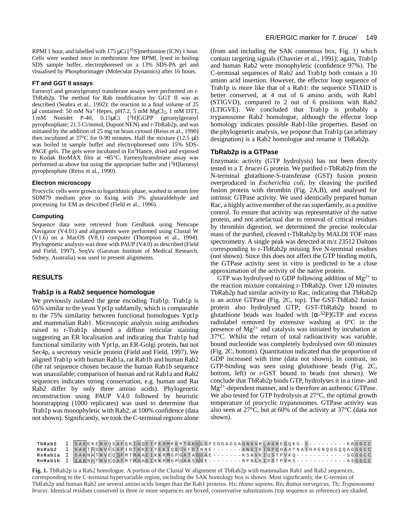RPMI 1 hour, and labelled with 175  $\mu$ Ci [<sup>35</sup>S]methionine (ICN) 1 hour. Cells were washed once in methionine free RPMI, lysed in boiling SDS sample buffer, electrophoresed on a 13% SDS-PA gel and visualised by Phosphorimager (Molecular Dynamics) after 16 hours.

#### **FT and GGT II assays**

Farnesyl and geranylgeranyl transferase assays were performed on r-TbRab2p. The method for Rab modification by GGT II was as described (Seabra et al., 1992): the reaction in a final volume of 25 µl contained: 50 mM Na<sup>+</sup> Hepes, pH7.2, 5 mM MgCl<sub>2</sub>, 1 mM DTT, 1 mM Nonidet P-40, 0.15µCi [3H]GGPP (geranylgeranyl pyrophosphate; 21.5 Ci/mmol, Dupont NEN) and r-TbRab2p, and was initiated by the addition of 25 mg rat brain cytosol (Reiss et al., 1990) then incubated at 37 $^{\circ}$ C for 0-90 minutes. Half the mixture (12.5 µl) was boiled in sample buffer and electrophoresed onto 15% SDS-PAGE gels. The gels were incubated in En<sup>3</sup>Hance, dried and exposed to Kodak BioMAX film at −85°C. Farnesyltransferase assay was performed as above but using the appropriate buffer and [3H]farnesyl pyrophosphate (Reiss et al., 1990).

#### **Electron microscopy**

Procyclic cells were grown to logarithmic phase, washed in serum free SDM79 medium prior to fixing with 3% glutaraldehyde and processing for EM as described (Field et al., 1996).

## **Computing**

Sequence data were retrieved from GenBank using Netscape Navigator (V4.01) and alignments were performed using Clustal W  $(V1.6)$  on a MacOS (V8.1) computer (Thompson et al., 1994). Phylogenetic analysis was done with PAUP (V4.0) as described (Field and Field, 1997). SeqVu (Garavan Institute of Medical Research, Sidney, Australia) was used to present alignments.

# **RESULTS**

# **Trab1p is a Rab2 sequence homologue**

We previously isolated the gene encoding Trab1p. Trab1p is 65% similar to the yeast Ypt1p subfamily, which is comparable to the 75% similarity between functional homologues Ypt1p and mammalian Rab1. Microscopic analysis using antibodies raised to r-Trab1p showed a diffuse reticular staining suggesting an ER localisation and indicating that Trab1p had functional similarity with Ypt1p, an ER-Golgi protein, but not Sec4p, a secretory vesicle protein (Field and Field, 1997). We aligned Trab1p with human Rab1a, rat Rab1b and human Rab2 (the rat sequence chosen because the human Rab1b sequence was unavailable; comparison of human and rat Rab1a and Rab2 sequences indicates strong conservation, e.g. human and Rat Rab2 differ by only three amino acids). Phylogenetic reconstruction using PAUP V4.0 followed by heuristic bootstrapping (1000 replicates) was used to determine that Trab1p was monophyletic with Rab2, at 100% confidence (data not shown). Significantly, we took the C-terminal regions alone

(from and including the SAK consensus box, Fig. 1) which contain targeting signals (Chavrier et al., 1991); again, Trab1p and human Rab2 were monophyletic (confidence 97%). The C-terminal sequences of Rab2 and Trab1p both contain a 10 amino acid insertion. However, the effector loop sequence of Trab1p is more like that of a Rab1: the sequence STIAID is better conserved, at 4 out of 6 amino acids, with Rab1 (STIGVD), compared to 2 out of 6 positions with Rab2 (LTIGVE). We concluded that Trab1p is probably a trypanosome Rab2 homologue, although the effector loop homology indicates possible Rab1-like properties. Based on the phylogenetic analysis, we propose that Trab1p (an arbitrary designation) is a Rab2 homologue and rename it TbRab2p.

## **TbRab2p is a GTPase**

Enzymatic activity (GTP hydrolysis) has not been directly tested in a *T. brucei* G protein. We purified r-TbRab2p from the N-terminal glutathione-S-transferase (GST) fusion protein overproduced in *Escherichia coli*, by cleaving the purified fusion protein with thrombin (Fig. 2A,B), and analysed for intrinsic GTPase activity. We used identically prepared human Rac, a highly active member of the ras superfamily, as a positive control. To ensure that activity was representative of the native protein, and not artefactual due to removal of critical residues by thrombin digestion, we determined the precise molecular mass of the purified, cleaved r-TbRab2p by MALDI TOF mass spectrometry. A single peak was detected at m/z 23512 Daltons corresponding to r-TbRab2p missing five N-terminal residues (not shown). Since this does not affect the GTP binding motifs, the GTPase activity seen in vitro is predicted to be a close approximation of the activity of the native protein.

GTP was hydrolysed to GDP following addition of  $Mg^{2+}$  to the reaction mixture containing r-TbRab2p. Over 120 minutes TbRab2p had similar activity to Rac, indicating that TbRab2p is an active GTPase (Fig. 2C, top). The GST-TbRab2 fusion protein also hydrolysed GTP; GST-TbRab2p bound to glutathione beads was loaded with  $\lceil \alpha^{-32}P \rceil GTP$  and excess radiolabel removed by extensive washing at 0°C in the presence of  $Mg^{2+}$  and catalysis was initiated by incubation at 37°C. Whilst the return of total radioactivity was variable, bound nucleotide was completely hydrolysed over 60 minutes (Fig. 2C, bottom). Quantitation indicated that the proportion of GDP increased with time (data not shown). In contrast, no GTP-binding was seen using glutathione beads (Fig. 2C, bottom, left) or r-GST bound to beads (not shown). We conclude that TbRab2p binds GTP, hydrolyses it in a time- and  $Mg^{2+}$ -dependent manner, and is therefore an authentic GTPase. We also tested for GTP hydrolysis at 27<sup>o</sup>C, the optimal growth temperature of procyclic trypanosomes. GTPase activity was also seen at 27°C, but at 60% of the activity at 37°C (data not shown).

| TbRab2 | 1 SAKEKENVOSAFOKIAOEIFEDMKERTGKGLSPSGGAGGAGNGVRLAGNEGOKG-S---------KRGGCC              |
|--------|----------------------------------------------------------------------------------------|
| HsRab2 | 1 SAKTASNVEEAFINTAKEIYEKIOEGVFDINNE - - - - - - - ANGIKIGPOHAATNATHAGNOGGOOAGGGCC      |
|        | <b>HSRabla</b> 1 SAKNATNVEQ SFMTMAAEIKKRMGPGATAGGAE-------KSNVKIQSTPVKQ---------SGGGCC |
|        |                                                                                        |

**Fig. 1.** TbRab2p is a Rab2 homologue. A portion of the Clustal W alignment of TbRab2p with mammalian Rab1 and Rab2 sequences, corresponding to the C-terminal hypervariable region, including the SAK homology box is shown. Most significantly, the C-termini of TbRab2p and human Rab2 are several amino acids longer than the Rab1 proteins. Hs; *Homo sapiens*, Rn; *Rattus norvegicus*, Tb; *Trypanosoma brucei*. Identical residues conserved in three or more sequences are boxed, conservative substitutions (top sequence as reference) are shaded.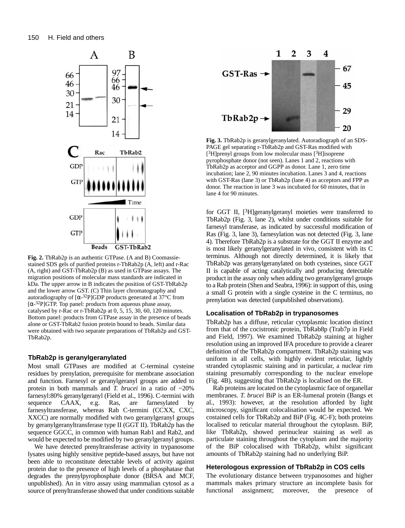

**Fig. 2.** TbRab2p is an authentic GTPase. (A and B) Coomassiestained SDS gels of purified proteins r-TbRab2p (A, left) and r-Rac (A, right) and GST-TbRab2p (B) as used in GTPase assays. The migration positions of molecular mass standards are indicated in kDa. The upper arrow in B indicates the position of GST-TbRab2p and the lower arrow GST. (C) Thin layer chromatography and autoradiography of  $\left[\alpha^{-32}P\right]GDP$  products generated at 37°C from [ $\alpha$ -32P]GTP. Top panel: products from aqueous phase assay, catalysed by r-Rac or r-TbRab2p at 0, 5, 15, 30, 60, 120 minutes. Bottom panel: products from GTPase assay in the presence of beads alone or GST-TbRab2 fusion protein bound to beads. Similar data were obtained with two separate preparations of TbRab2p and GST-TbRab2p.

# **TbRab2p is geranylgeranylated**

Most small GTPases are modified at C-terminal cysteine residues by prenylation, prerequisite for membrane association and function. Farnesyl or geranylgeranyl groups are added to protein in both mammals and *T. brucei* in a ratio of ~20% farnesyl:80% geranylgeranyl (Field et al., 1996). C-termini with sequence CAAX, e.g. Ras, are farnesylated by farnesyltransferase, whereas Rab C-termini (CCXX, CXC, XXCC) are normally modified with two geranylgeranyl groups by geranylgeranyltransferase type II (GGT II). TbRab2p has the sequence GGCC, in common with human Rab1 and Rab2, and would be expected to be modified by two geranylgeranyl groups.

We have detected prenyltransferase activity in trypanosome lysates using highly sensitive peptide-based assays, but have not been able to reconstitute detectable levels of activity against protein due to the presence of high levels of a phosphatase that degrades the prenylpyrophosphate donor (BRSA and MCF, unpublished). An in vitro assay using mammalian cytosol as a source of prenyltransferase showed that under conditions suitable



**Fig. 3.** TbRab2p is geranylgeranylated. Autoradiograph of an SDS-PAGE gel separating r-TbRab2p and GST-Ras modified with  $[3H]$ prenyl groups from low molecular mass  $[3H]$ isoprene pyrophosphate donor (not seen). Lanes 1 and 2, reactions with TbRab2p as acceptor and GGPP as donor. Lane 1, zero time incubation; lane 2, 90 minutes incubation. Lanes 3 and 4, reactions with GST-Ras (lane 3) or TbRab2p (lane 4) as acceptors and FPP as donor. The reaction in lane 3 was incubated for 60 minutes, that in lane 4 for 90 minutes.

for GGT II, [3H]geranylgeranyl moieties were transferred to TbRab2p (Fig. 3, lane 2), whilst under conditions suitable for farnesyl transferase, as indicated by successful modification of Ras (Fig. 3, lane 3), farnesylation was not detected (Fig. 3, lane 4). Therefore TbRab2p is a substrate for the GGT II enzyme and is most likely geranylgeranylated in vivo, consistent with its C terminus. Although not directly determined, it is likely that TbRab2p was geranylgeranylated on both cysteines, since GGT II is capable of acting catalytically and producing detectable product in the assay only when adding two geranylgeranyl groups to a Rab protein (Shen and Seabra, 1996): in support of this, using a small G protein with a single cysteine in the C terminus, no prenylation was detected (unpublished observations).

## **Localisation of TbRab2p in trypanosomes**

TbRab2p has a diffuse, reticular cytoplasmic location distinct from that of the cocistronic protein, TbRab8p (Trab7p in Field and Field, 1997). We examined TbRab2p staining at higher resolution using an improved IFA procedure to provide a clearer definition of the TbRab2p compartment. TbRab2p staining was uniform in all cells, with highly evident reticular, lightly stranded cytoplasmic staining and in particular, a nuclear rim staining presumably corresponding to the nuclear envelope (Fig. 4B), suggesting that TbRab2p is localised on the ER.

Rab proteins are located on the cytoplasmic face of organellar membranes. *T. brucei* BiP is an ER-lumenal protein (Bangs et al., 1993): however, at the resolution afforded by light microscopy, significant colocalisation would be expected. We costained cells for TbRab2p and BiP (Fig. 4C-F); both proteins localised to reticular material throughout the cytoplasm. BiP, like TbRab2p, showed perinuclear staining as well as particulate staining throughout the cytoplasm and the majority of the BiP colocalised with TbRab2p, whilst significant amounts of TbRab2p staining had no underlying BiP.

### **Heterologous expression of TbRab2p in COS cells**

The evolutionary distance between trypanosomes and higher mammals makes primary structure an incomplete basis for functional assignment; moreover, the presence of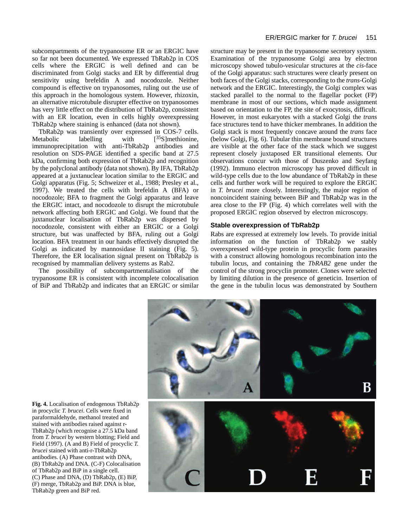subcompartments of the trypanosome ER or an ERGIC have so far not been documented. We expressed TbRab2p in COS cells where the ERGIC is well defined and can be discriminated from Golgi stacks and ER by differential drug sensitivity using brefeldin A and nocodozole. Neither compound is effective on trypanosomes, ruling out the use of this approach in the homologous system. However, rhizoxin, an alternative microtubule disrupter effective on trypanosomes has very little effect on the distribution of TbRab2p, consistent with an ER location, even in cells highly overexpressing TbRab2p where staining is enhanced (data not shown).

TbRab2p was transiently over expressed in COS-7 cells. Metabolic labelling with  $[35S]$  methionine, immunoprecipitation with anti-TbRab2p antibodies and resolution on SDS-PAGE identified a specific band at 27.5 kDa, confirming both expression of TbRab2p and recognition by the polyclonal antibody (data not shown). By IFA, TbRab2p appeared at a juxtanuclear location similar to the ERGIC and Golgi apparatus (Fig. 5; Schweizer et al., 1988; Presley et al., 1997). We treated the cells with brefeldin A (BFA) or nocodozole; BFA to fragment the Golgi apparatus and leave the ERGIC intact, and nocodozole to disrupt the microtubule network affecting both ERGIC and Golgi. We found that the juxtanuclear localisation of TbRab2p was dispersed by nocodozole, consistent with either an ERGIC or a Golgi structure, but was unaffected by BFA, ruling out a Golgi location. BFA treatment in our hands effectively disrupted the Golgi as indicated by mannosidase II staining (Fig. 5). Therefore, the ER localisation signal present on TbRab2p is recognised by mammalian delivery systems as Rab2.

The possibility of subcompartmentalisation of the trypanosome ER is consistent with incomplete colocalisation of BiP and TbRab2p and indicates that an ERGIC or similar

structure may be present in the trypanosome secretory system. Examination of the trypanosome Golgi area by electron microscopy showed tubulo-vesicular structures at the *cis*-face of the Golgi apparatus: such structures were clearly present on both faces of the Golgi stacks, corresponding to the *trans*-Golgi network and the ERGIC. Interestingly, the Golgi complex was stacked parallel to the normal to the flagellar pocket (FP) membrane in most of our sections, which made assignment based on orientation to the FP, the site of exocytosis, difficult. However, in most eukaryotes with a stacked Golgi the *trans* face structures tend to have thicker membranes. In addition the Golgi stack is most frequently concave around the *trans* face (below Golgi, Fig. 6). Tubular thin membrane bound structures are visible at the other face of the stack which we suggest represent closely juxtaposed ER transitional elements. Our observations concur with those of Duszenko and Seyfang (1992). Immuno electron microscopy has proved difficult in wild-type cells due to the low abundance of TbRab2p in these cells and further work will be required to explore the ERGIC in *T. brucei* more closely. Interestingly, the major region of noncoincident staining between BiP and TbRab2p was in the area close to the FP (Fig. 4) which correlates well with the proposed ERGIC region observed by electron microscopy.

# **Stable overexpression of TbRab2p**

Rabs are expressed at extremely low levels. To provide initial information on the function of TbRab2p we stably overexpressed wild-type protein in procyclic form parasites with a construct allowing homologous recombination into the tubulin locus, and containing the *TbRAB2* gene under the control of the strong procyclin promoter. Clones were selected by limiting dilution in the presence of geneticin. Insertion of the gene in the tubulin locus was demonstrated by Southern



**Fig. 4.** Localisation of endogenous TbRab2p in procyclic *T. brucei*. Cells were fixed in paraformaldehyde, methanol treated and stained with antibodies raised against r-TbRab2p (which recognise a 27.5 kDa band from *T. brucei* by western blotting; Field and Field (1997). (A and B) Field of procyclic *T. brucei* stained with anti-r-TbRab2p antibodies. (A) Phase contrast with DNA, (B) TbRab2p and DNA. (C-F) Colocalisation of TbRab2p and BiP in a single cell. (C) Phase and DNA, (D) TbRab2p, (E) BiP, (F) merge, TbRab2p and BiP. DNA is blue, TbRab2p green and BiP red.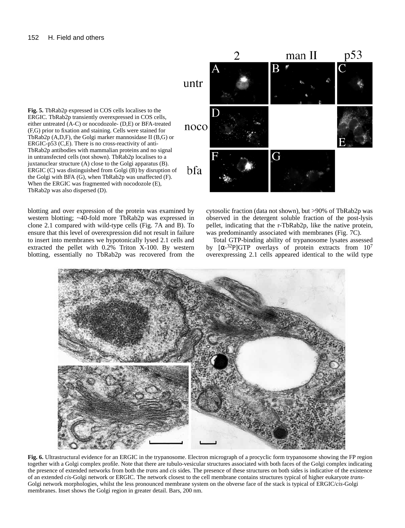**Fig. 5.** TbRab2p expressed in COS cells localises to the ERGIC. TbRab2p transiently overexpressed in COS cells, either untreated (A-C) or nocodozole- (D,E) or BFA-treated (F,G) prior to fixation and staining. Cells were stained for TbRab2p (A,D,F), the Golgi marker mannosidase II (B,G) or ERGIC-p53 (C,E). There is no cross-reactivity of anti-TbRab2p antibodies with mammalian proteins and no signal in untransfected cells (not shown). TbRab2p localises to a juxtanuclear structure (A) close to the Golgi apparatus (B). ERGIC (C) was distinguished from Golgi (B) by disruption of the Golgi with BFA (G), when TbRab2p was unaffected (F). When the ERGIC was fragmented with nocodozole (E), TbRab2p was also dispersed (D).

blotting and over expression of the protein was examined by western blotting; ~40-fold more TbRab2p was expressed in clone 2.1 compared with wild-type cells (Fig. 7A and B). To ensure that this level of overexpression did not result in failure to insert into membranes we hypotonically lysed 2.1 cells and extracted the pellet with 0.2% Triton X-100. By western blotting, essentially no TbRab2p was recovered from the

man II  $p53$  $\overline{\mathbf{B}}$ untr noco G bfa

> cytosolic fraction (data not shown), but >90% of TbRab2p was observed in the detergent soluble fraction of the post-lysis pellet, indicating that the r-TbRab2p, like the native protein, was predominantly associated with membranes (Fig. 7C).

> Total GTP-binding ability of trypanosome lysates assessed by  $\left[\alpha^{-32}P\right]GTP$  overlays of protein extracts from  $10^7$ overexpressing 2.1 cells appeared identical to the wild type



**Fig. 6.** Ultrastructural evidence for an ERGIC in the trypanosome. Electron micrograph of a procyclic form trypanosome showing the FP region together with a Golgi complex profile. Note that there are tubulo-vesicular structures associated with both faces of the Golgi complex indicating the presence of extended networks from both the *trans* and *cis* sides. The presence of these structures on both sides is indicative of the existence of an extended *cis*-Golgi network or ERGIC. The network closest to the cell membrane contains structures typical of higher eukaryote *trans*-Golgi network morphologies, whilst the less pronounced membrane system on the obverse face of the stack is typical of ERGIC/*cis*-Golgi membranes. Inset shows the Golgi region in greater detail. Bars, 200 nm.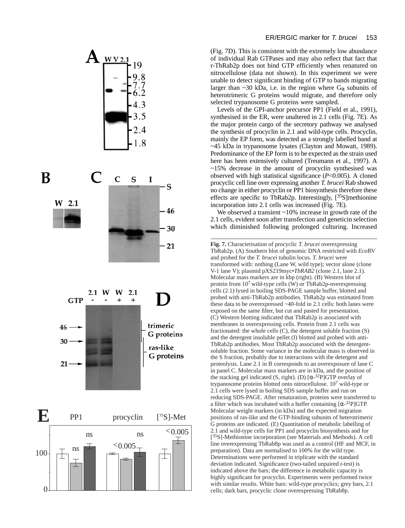

(Fig. 7D). This is consistent with the extremely low abundance of individual Rab GTPases and may also reflect that fact that r-TbRab2p does not bind GTP efficiently when renatured on nitrocellulose (data not shown). In this experiment we were unable to detect significant binding of GTP to bands migrating larger than ~30 kDa, i.e. in the region where  $G_{\alpha}$  subunits of heterotrimeric G proteins would migrate, and therefore only selected trypanosome G proteins were sampled.

Levels of the GPI-anchor precursor PP1 (Field et al., 1991), synthesised in the ER, were unaltered in 2.1 cells (Fig. 7E). As the major protein cargo of the secretory pathway we analysed the synthesis of procyclin in 2.1 and wild-type cells. Procyclin, mainly the EP form, was detected as a strongly labelled band at ~45 kDa in trypanosome lysates (Clayton and Mowatt, 1989). Predominance of the EP form is to be expected as the strain used here has been extensively cultured (Treumann et al., 1997). A ~15% decrease in the amount of procyclin synthesised was observed with high statistical significance (*P*<0.005). A cloned procyclic cell line over expressing another *T. brucei* Rab showed no change in either procyclin or PP1 biosynthesis therefore these effects are specific to TbRab2p. Interestingly,  $[^{35}S]$ methionine incorporation into 2.1 cells was increased (Fig. 7E).

We observed a transient ~10% increase in growth rate of the 2.1 cells, evident soon after transfection and geneticin selection which diminished following prolonged culturing. Increased

**Fig. 7.** Characterisation of procyclic *T. brucei* overexpressing TbRab2p. (A) Southern blot of genomic DNA restricted with *Eco*RV and probed for the *T. brucei* tubulin locus. *T. brucei* were transformed with: nothing (Lane W, wild type); vector alone (clone V-1 lane V); plasmid pXS219myc•*TbRAB2* (clone 2.1, lane 2.1). Molecular mass markers are in kbp (right). (B) Western blot of protein from 107 wild-type cells (W) or TbRab2p-overexpressing cells (2.1) lysed in boiling SDS-PAGE sample buffer, blotted and probed with anti-TbRab2p antibodies. TbRab2p was estimated from these data to be overexpressed ~40-fold in 2.1 cells: both lanes were exposed on the same filter, but cut and pasted for presentation. (C) Western blotting indicated that TbRab2p is associated with membranes in overexpressing cells. Protein from 2.1 cells was fractionated: the whole cells (C), the detergent soluble fraction (S) and the detergent insoluble pellet (I) blotted and probed with anti-TbRab2p antibodies. Most TbRab2p associated with the detergentsoluble fraction. Some variance in the molecular mass is observed in the S fraction, probably due to interactions with the detergent and proteolysis. Lane 2.1 in B corresponds to an overexposure of lane C in panel C. Molecular mass markers are in kDa, and the position of the stacking gel indicated (S, right). (D)  $[\alpha^{-32}P]GTP$  overlay of trypanosome proteins blotted onto nitrocellulose. 10<sup>7</sup> wild-type or 2.1 cells were lysed in boiling SDS sample buffer and run on reducing SDS-PAGE. After renaturation, proteins were transferred to a filter which was incubated with a buffer containing  $[\alpha^{-32}P]GTP$ . Molecular weight markers (in kDa) and the expected migration positions of ras-like and the GTP-binding subunits of heterotrimeric G proteins are indicated. (E) Quantitation of metabolic labelling of 2.1 and wild-type cells for PP1 and procyclin biosynthesis and for [<sup>35</sup>S]-Methionine incorporation (see Materials and Methods). A cell line overexpressing TbRab8p was used as a control (HF and MCF, in preparation). Data are normalised to 100% for the wild type. Determinations were performed in triplicate with the standard deviation indicated. Significance (two-tailed unpaired *t*-test) is indicated above the bars; the difference in metabolic capacity is highly significant for procyclin. Experiments were performed twice with similar results. White bars: wild-type procyclics; grey bars, 2.1 cells; dark bars, procyclic clone overexpressing TbRab8p.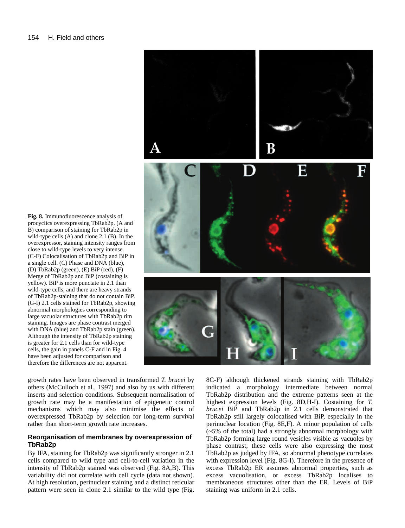

**Fig. 8.** Immunofluorescence analysis of procyclics overexpressing TbRab2p. (A and B) comparison of staining for TbRab2p in wild-type cells (A) and clone 2.1 (B). In the overexpressor, staining intensity ranges from close to wild-type levels to very intense. (C-F) Colocalisation of TbRab2p and BiP in a single cell. (C) Phase and DNA (blue), (D) TbRab2p (green), (E) BiP (red), (F) Merge of TbRab2p and BiP (costaining is yellow). BiP is more punctate in 2.1 than wild-type cells, and there are heavy strands of TbRab2p-staining that do not contain BiP. (G-I) 2.1 cells stained for TbRab2p, showing abnormal morphologies corresponding to large vacuolar structures with TbRab2p rim staining. Images are phase contrast merged with DNA (blue) and TbRab2p stain (green). Although the intensity of TbRab2p staining is greater for 2.1 cells than for wild-type cells, the gain in panels C-F and in Fig. 4 have been adjusted for comparison and therefore the differences are not apparent.

growth rates have been observed in transformed *T. brucei* by others (McCulloch et al., 1997) and also by us with different inserts and selection conditions. Subsequent normalisation of growth rate may be a manifestation of epigenetic control mechanisms which may also minimise the effects of overexpressed TbRab2p by selection for long-term survival rather than short-term growth rate increases.

# **Reorganisation of membranes by overexpression of TbRab2p**

By IFA, staining for TbRab2p was significantly stronger in 2.1 cells compared to wild type and cell-to-cell variation in the intensity of TbRab2p stained was observed (Fig. 8A,B). This variability did not correlate with cell cycle (data not shown). At high resolution, perinuclear staining and a distinct reticular pattern were seen in clone 2.1 similar to the wild type (Fig.

8C-F) although thickened strands staining with TbRab2p indicated a morphology intermediate between normal TbRab2p distribution and the extreme patterns seen at the highest expression levels (Fig. 8D,H-I). Costaining for *T. brucei* BiP and TbRab2p in 2.1 cells demonstrated that TbRab2p still largely colocalised with BiP, especially in the perinuclear location (Fig. 8E,F). A minor population of cells (~5% of the total) had a strongly abnormal morphology with TbRab2p forming large round vesicles visible as vacuoles by phase contrast; these cells were also expressing the most TbRab2p as judged by IFA, so abnormal phenotype correlates with expression level (Fig. 8G-I). Therefore in the presence of excess TbRab2p ER assumes abnormal properties, such as excess vacuolisation, or excess TbRab2p localises to membraneous structures other than the ER. Levels of BiP staining was uniform in 2.1 cells.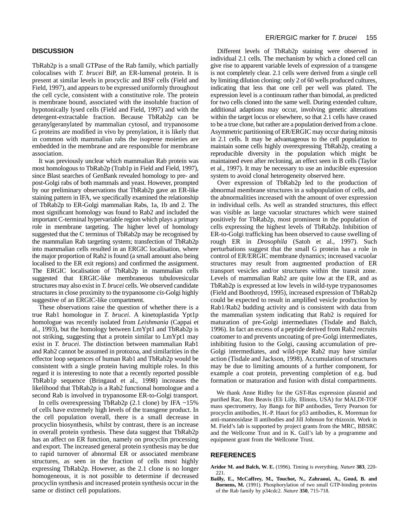# **DISCUSSION**

TbRab2p is a small GTPase of the Rab family, which partially colocalises with *T. brucei* BiP, an ER-lumenal protein. It is present at similar levels in procyclic and BSF cells (Field and Field, 1997), and appears to be expressed uniformly throughout the cell cycle, consistent with a constitutive role. The protein is membrane bound, associated with the insoluble fraction of hypotonically lysed cells (Field and Field, 1997) and with the detergent-extractable fraction. Because TbRab2p can be geranylgeranylated by mammalian cytosol, and trypanosome G proteins are modified in vivo by prenylation, it is likely that in common with mammalian rabs the isoprene moieties are embedded in the membrane and are responsible for membrane association.

It was previously unclear which mammalian Rab protein was most homologous to TbRab2p (Trab1p in Field and Field, 1997), since Blast searches of GenBank revealed homology to pre- and post-Golgi rabs of both mammals and yeast. However, prompted by our preliminary observations that TbRab2p gave an ER-like staining pattern in IFA, we specifically examined the relationship of TbRab2p to ER-Golgi mammalian Rabs, 1a, 1b and 2. The most significant homology was found to Rab2 and included the important C-terminal hypervariable region which plays a primary role in membrane targeting. The higher level of homology suggested that the C terminus of TbRab2p may be recognised by the mammalian Rab targeting system; transfection of TbRab2p into mammalian cells resulted in an ERGIC localisation, where the major proportion of Rab2 is found (a small amount also being localised to the ER exit regions) and confirmed the assignment. The ERGIC localisation of TbRab2p in mammalian cells suggested that ERGIC-like membraneous tubulovesicular structures may also exist in *T. brucei* cells. We observed candidate structures in close proximity to the trypanosome *cis*-Golgi highly suggestive of an ERGIC-like compartment.

These observations raise the question of whether there is a true Rab1 homologue in *T. brucei*. A kinetoplastida Ypt1p homologue was recently isolated from *Leishmania* (Cappai et al., 1993), but the homology between LmYpt1 and TbRab2p is not striking, suggesting that a protein similar to LmYpt1 may exist in *T. brucei*. The distinction between mammalian Rab1 and Rab2 cannot be assumed in protozoa, and similarities in the effector loop sequences of human Rab1 and TbRab2p would be consistent with a single protein having multiple roles. In this regard it is interesting to note that a recently reported possible TbRab1p sequence (Bringaud et al., 1998) increases the likelihood that TbRab2p is a Rab2 functional homologue and a second Rab is involved in trypanosome ER-to-Golgi transport.

In cells overexpressing TbRab2p  $(2.1 \text{ clone})$  by IFA ~15% of cells have extremely high levels of the transgene product. In the cell population overall, there is a small decrease in procyclin biosynthesis, whilst by contrast, there is an increase in overall protein synthesis. These data suggest that TbRab2p has an affect on ER function, namely on procyclin processing and export. The increased general protein synthesis may be due to rapid turnover of abnormal ER or associated membrane structures, as seen in the fraction of cells most highly expressing TbRab2p. However, as the 2.1 clone is no longer homogeneous, it is not possible to determine if decreased procyclin synthesis and increased protein synthesis occur in the same or distinct cell populations.

Different levels of TbRab2p staining were observed in individual 2.1 cells. The mechanism by which a cloned cell can give rise to apparent variable levels of expression of a transgene is not completely clear. 2.1 cells were derived from a single cell by limiting dilution cloning: only 2 of 60 wells produced cultures, indicating that less that one cell per well was plated. The expression level is a continuum rather than bimodal, as predicted for two cells cloned into the same well. During extended culture, additional adaptions may occur, involving genetic alterations within the target locus or elsewhere, so that 2.1 cells have ceased to be a true clone, but rather are a population derived from a clone. Asymmetric partitioning of ER/ERGIC may occur during mitosis in 2.1 cells. It may be advantageous to the cell population to maintain some cells highly overexpressing TbRab2p, creating a reproducible diversity in the population which might be maintained even after recloning, an effect seen in B cells (Taylor et al., 1997). It may be necessary to use an inducible expression system to avoid clonal heterogeneity observed here.

Over expression of TbRab2p led to the production of abnormal membrane structures in a subpopulation of cells, and the abnormalities increased with the amount of over expression in individual cells. As well as stranded structures, this effect was visible as large vacuolar structures which were stained positively for TbRab2p, most prominent in the population of cells expressing the highest levels of TbRab2p. Inhibition of ER-to-Golgi trafficking has been observed to cause swelling of rough ER in *Drosophila* (Satoh et al., 1997). Such perturbations suggest that the small G protein has a role in control of ER/ERGIC membrane dynamics; increased vacuolar structures may result from augmented production of ER transport vesicles and/or structures within the transit zone. Levels of mammalian Rab2 are quite low at the ER, and as TbRab2p is expressed at low levels in wild-type trypanosomes (Field and Boothroyd, 1995), increased expression of TbRab2p could be expected to result in amplified vesicle production by Rab1/Rab2 budding activity and is consistent with data from the mammalian system indicating that Rab2 is required for maturation of pre-Golgi intermediates (Tisdale and Balch, 1996). In fact an excess of a peptide derived from Rab2 recruits coatomer to and prevents uncoating of pre-Golgi intermediates, inhibiting fusion to the Golgi, causing accumulation of pre-Golgi intermediates, and wild-type Rab2 may have similar action (Tisdale and Jackson, 1998). Accumulation of structures may be due to limiting amounts of a further component, for example a coat protein, preventing completion of e.g. bud formation or maturation and fusion with distal compartments.

We thank Anne Ridley for the GST-Ras expression plasmid and purified Rac, Ron Beavis (Eli Lilly, Illinois, USA) for MALDI-TOF mass spectrometry, Jay Bangs for BiP antibodies, Terry Pearson for procyclin antibodies, H.-P. Hauri for p53 antibodies, K. Moreman for anti-mannosidase II antibodies and Jill Johnson for rhizoxin. Work in M. Field's lab is supported by project grants from the MRC, BBSRC and the Wellcome Trust and in K. Gull's lab by a programme and equipment grant from the Wellcome Trust.

# **REFERENCES**

- **Aridor M. and Balch, W. E.** (1996). Timing is everything. *Nature* **383**, 220- 221.
- **Bailly, E., McCaffrey, M., Touchot, N., Zahraoui, A., Goud, B. and Bornens, M.** (1991). Phosphorylation of two small GTP-binding proteins of the Rab family by p34cdc2. *Nature* **350**, 715-718.